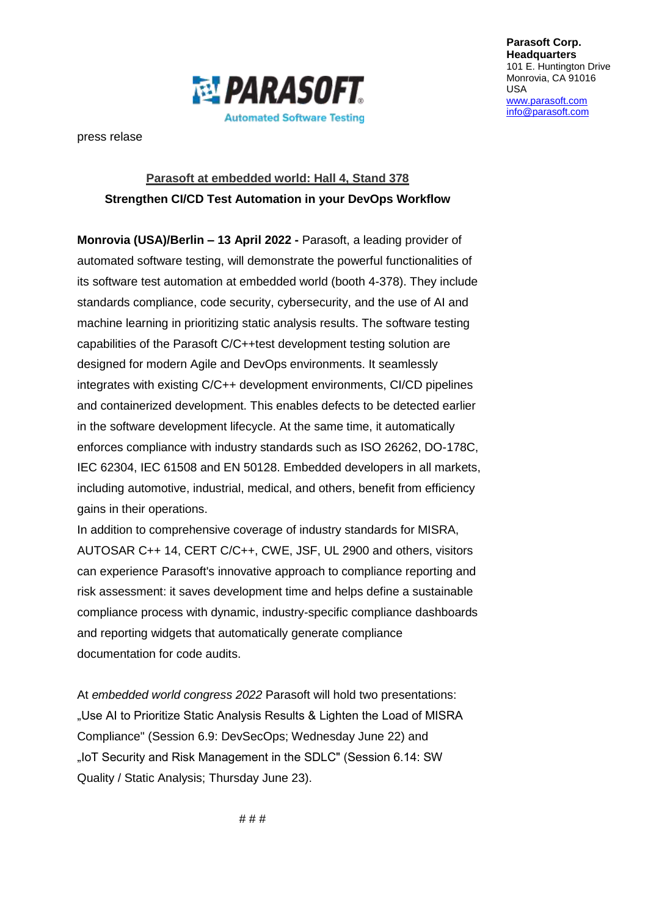

press relase

## **Parasoft at embedded world: Hall 4, Stand 378 Strengthen CI/CD Test Automation in your DevOps Workflow**

**Monrovia (USA)/Berlin – 13 April 2022 -** Parasoft, a leading provider of automated software testing, will demonstrate the powerful functionalities of its software test automation at embedded world (booth 4-378). They include standards compliance, code security, cybersecurity, and the use of AI and machine learning in prioritizing static analysis results. The software testing capabilities of the Parasoft C/C++test development testing solution are designed for modern Agile and DevOps environments. It seamlessly integrates with existing C/C++ development environments, CI/CD pipelines and containerized development. This enables defects to be detected earlier in the software development lifecycle. At the same time, it automatically enforces compliance with industry standards such as ISO 26262, DO-178C, IEC 62304, IEC 61508 and EN 50128. Embedded developers in all markets, including automotive, industrial, medical, and others, benefit from efficiency gains in their operations.

In addition to comprehensive coverage of industry standards for MISRA, AUTOSAR C++ 14, CERT C/C++, CWE, JSF, UL 2900 and others, visitors can experience Parasoft's innovative approach to compliance reporting and risk assessment: it saves development time and helps define a sustainable compliance process with dynamic, industry-specific compliance dashboards and reporting widgets that automatically generate compliance documentation for code audits.

At *embedded world congress 2022* Parasoft will hold two presentations: "Use AI to Prioritize Static Analysis Results & Lighten the Load of MISRA Compliance" (Session 6.9: DevSecOps; Wednesday June 22) and "IoT Security and Risk Management in the SDLC" (Session 6.14: SW Quality / Static Analysis; Thursday June 23).